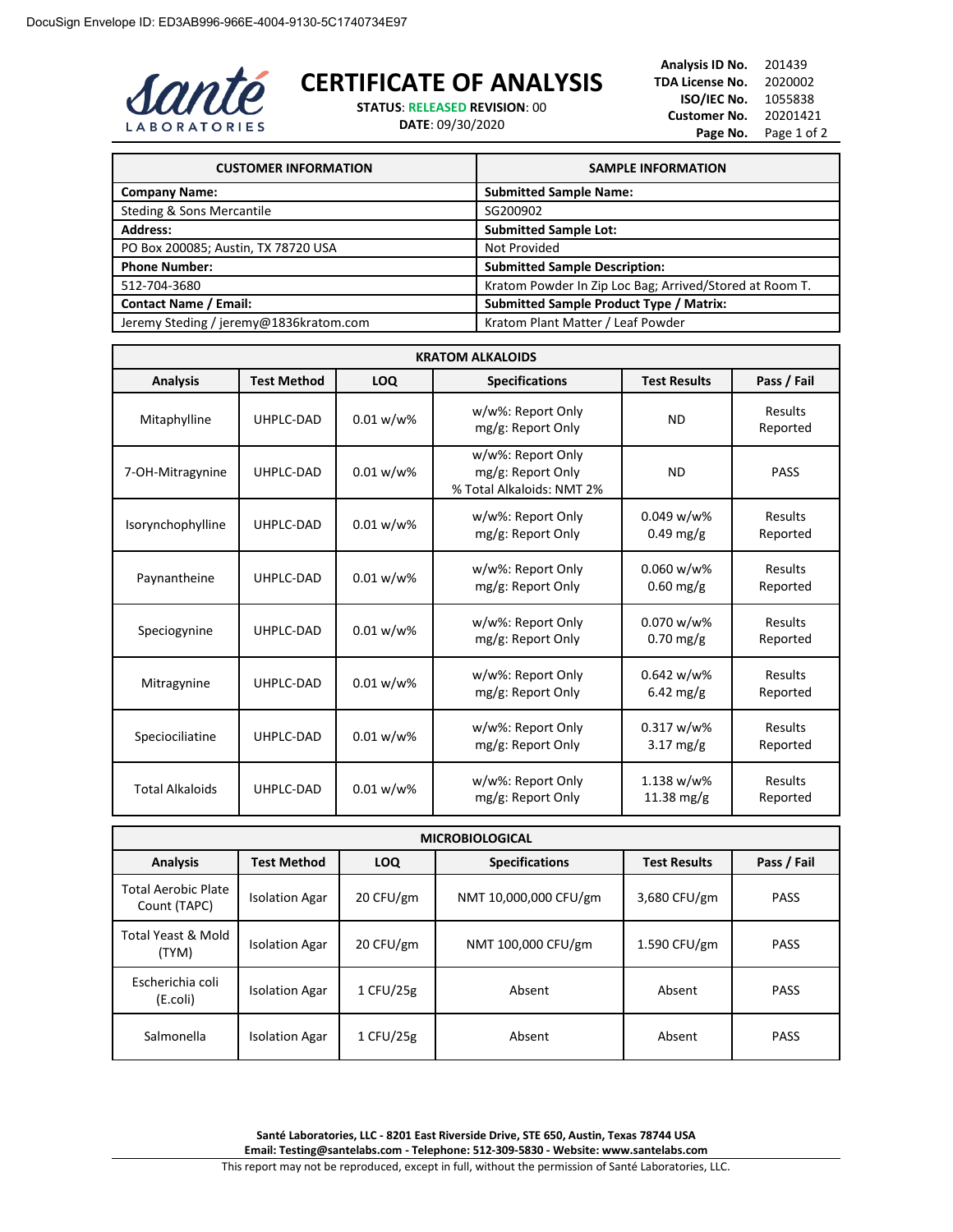

## **CERTIFICATE OF ANALYSIS**

**STATUS**: **RELEASED REVISION**: 00

**DATE**: 09/30/2020

**Analysis ID No.** 201439 **TDA License No.** 2020002 **ISO/IEC No.** 1055838 **Customer No.** 20201421 Page No. Page 1 of 2

| <b>CUSTOMER INFORMATION</b>            | <b>SAMPLE INFORMATION</b>                               |
|----------------------------------------|---------------------------------------------------------|
| <b>Company Name:</b>                   | <b>Submitted Sample Name:</b>                           |
| Steding & Sons Mercantile              | SG200902                                                |
| <b>Address:</b>                        | <b>Submitted Sample Lot:</b>                            |
| PO Box 200085; Austin, TX 78720 USA    | Not Provided                                            |
| <b>Phone Number:</b>                   | <b>Submitted Sample Description:</b>                    |
| 512-704-3680                           | Kratom Powder In Zip Loc Bag; Arrived/Stored at Room T. |
| <b>Contact Name / Email:</b>           | <b>Submitted Sample Product Type / Matrix:</b>          |
| Jeremy Steding / jeremy@1836kratom.com | Kratom Plant Matter / Leaf Powder                       |

| <b>KRATOM ALKALOIDS</b> |                    |              |                                                                     |                                      |                     |
|-------------------------|--------------------|--------------|---------------------------------------------------------------------|--------------------------------------|---------------------|
| <b>Analysis</b>         | <b>Test Method</b> | <b>LOQ</b>   | <b>Specifications</b>                                               | <b>Test Results</b>                  | Pass / Fail         |
| Mitaphylline            | UHPLC-DAD          | $0.01 w/w$ % | w/w%: Report Only<br>mg/g: Report Only                              | <b>ND</b>                            | Results<br>Reported |
| 7-OH-Mitragynine        | UHPLC-DAD          | $0.01 w/w$ % | w/w%: Report Only<br>mg/g: Report Only<br>% Total Alkaloids: NMT 2% | <b>ND</b>                            | <b>PASS</b>         |
| Isorynchophylline       | UHPLC-DAD          | $0.01 w/w$ % | w/w%: Report Only<br>mg/g: Report Only                              | $0.049 w/w$ %<br>$0.49$ mg/g         | Results<br>Reported |
| Paynantheine            | UHPLC-DAD          | $0.01 w/w$ % | w/w%: Report Only<br>mg/g: Report Only                              | $0.060 w/w\%$<br>$0.60$ mg/g         | Results<br>Reported |
| Speciogynine            | UHPLC-DAD          | $0.01 w/w$ % | w/w%: Report Only<br>mg/g: Report Only                              | $0.070 w/w$ %<br>$0.70$ mg/g         | Results<br>Reported |
| Mitragynine             | UHPLC-DAD          | $0.01 w/w$ % | w/w%: Report Only<br>mg/g: Report Only                              | $0.642 w/w$ %<br>$6.42$ mg/g         | Results<br>Reported |
| Speciociliatine         | UHPLC-DAD          | $0.01 w/w$ % | w/w%: Report Only<br>mg/g: Report Only                              | $0.317 w/w$ %<br>$3.17 \text{ mg/g}$ | Results<br>Reported |
| <b>Total Alkaloids</b>  | UHPLC-DAD          | $0.01 w/w$ % | w/w%: Report Only<br>mg/g: Report Only                              | 1.138 w/w%<br>11.38 mg/g             | Results<br>Reported |

| <b>MICROBIOLOGICAL</b>                     |                       |            |                       |                     |             |
|--------------------------------------------|-----------------------|------------|-----------------------|---------------------|-------------|
| <b>Analysis</b>                            | <b>Test Method</b>    | <b>LOQ</b> | <b>Specifications</b> | <b>Test Results</b> | Pass / Fail |
| <b>Total Aerobic Plate</b><br>Count (TAPC) | <b>Isolation Agar</b> | 20 CFU/gm  | NMT 10,000,000 CFU/gm | 3,680 CFU/gm        | <b>PASS</b> |
| <b>Total Yeast &amp; Mold</b><br>(TYM)     | <b>Isolation Agar</b> | 20 CFU/gm  | NMT 100,000 CFU/gm    | 1.590 CFU/gm        | <b>PASS</b> |
| Escherichia coli<br>(E.coli)               | <b>Isolation Agar</b> | 1 CFU/25g  | Absent                | Absent              | <b>PASS</b> |
| Salmonella                                 | <b>Isolation Agar</b> | 1 CFU/25g  | Absent                | Absent              | <b>PASS</b> |

**Santé Laboratories, LLC - 8201 East Riverside Drive, STE 650, Austin, Texas 78744 USA Email: Testing@santelabs.com - Telephone: 512-309-5830 - Website: www.santelabs.com** This report may not be reproduced, except in full, without the permission of Santé Laboratories, LLC.